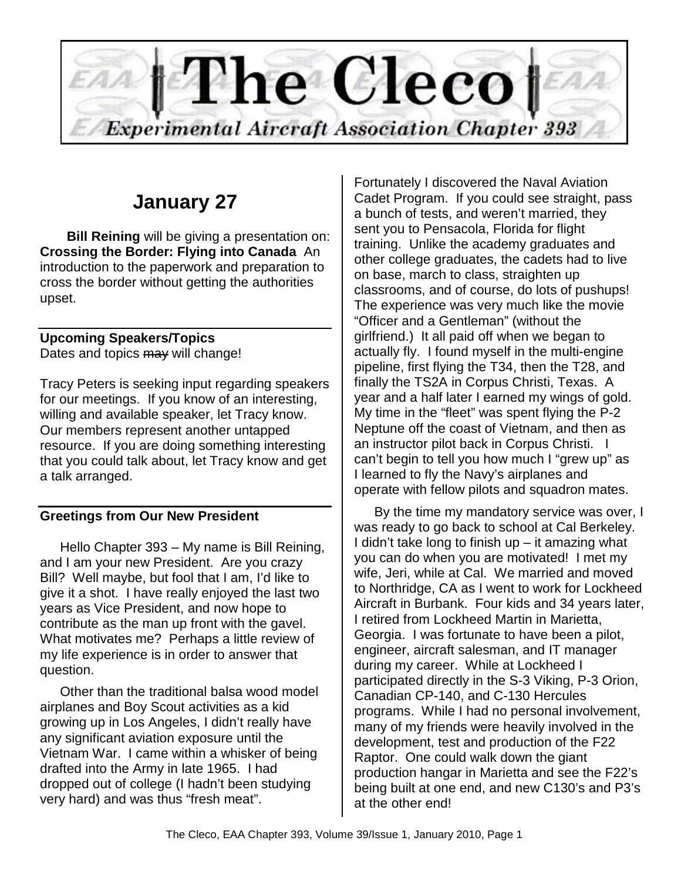

# **January 27**

**Bill Reining** will be giving a presentation on: **Crossing the Border: Flying into Canada** An introduction to the paperwork and preparation to cross the border without getting the authorities upset.

## **Upcoming Speakers/Topics**

Dates and topics may will change!

Tracy Peters is seeking input regarding speakers for our meetings. If you know of an interesting, willing and available speaker, let Tracy know. Our members represent another untapped resource. If you are doing something interesting that you could talk about, let Tracy know and get a talk arranged.

## **Greetings from Our New President**

Hello Chapter 393 – My name is Bill Reining, and I am your new President. Are you crazy Bill? Well maybe, but fool that I am, I'd like to give it a shot. I have really enjoyed the last two years as Vice President, and now hope to contribute as the man up front with the gavel. What motivates me? Perhaps a little review of my life experience is in order to answer that question.

Other than the traditional balsa wood model airplanes and Boy Scout activities as a kid growing up in Los Angeles, I didn't really have any significant aviation exposure until the Vietnam War. I came within a whisker of being drafted into the Army in late 1965. I had dropped out of college (I hadn't been studying very hard) and was thus "fresh meat".

Fortunately I discovered the Naval Aviation Cadet Program. If you could see straight, pass a bunch of tests, and weren't married, they sent you to Pensacola, Florida for flight training. Unlike the academy graduates and other college graduates, the cadets had to live on base, march to class, straighten up classrooms, and of course, do lots of pushups! The experience was very much like the movie "Officer and a Gentleman" (without the girlfriend.) It all paid off when we began to actually fly. I found myself in the multi-engine pipeline, first flying the T34, then the T28, and finally the TS2A in Corpus Christi, Texas. A year and a half later I earned my wings of gold. My time in the "fleet" was spent flying the P-2 Neptune off the coast of Vietnam, and then as an instructor pilot back in Corpus Christi. I can't begin to tell you how much I "grew up" as I learned to fly the Navy's airplanes and operate with fellow pilots and squadron mates.

By the time my mandatory service was over, I was ready to go back to school at Cal Berkeley. I didn't take long to finish up  $-$  it amazing what you can do when you are motivated! I met my wife, Jeri, while at Cal. We married and moved to Northridge, CA as I went to work for Lockheed Aircraft in Burbank. Four kids and 34 years later, I retired from Lockheed Martin in Marietta, Georgia. I was fortunate to have been a pilot, engineer, aircraft salesman, and IT manager during my career. While at Lockheed I participated directly in the S-3 Viking, P-3 Orion, Canadian CP-140, and C-130 Hercules programs. While I had no personal involvement, many of my friends were heavily involved in the development, test and production of the F22 Raptor. One could walk down the giant production hangar in Marietta and see the F22's being built at one end, and new C130's and P3's at the other end!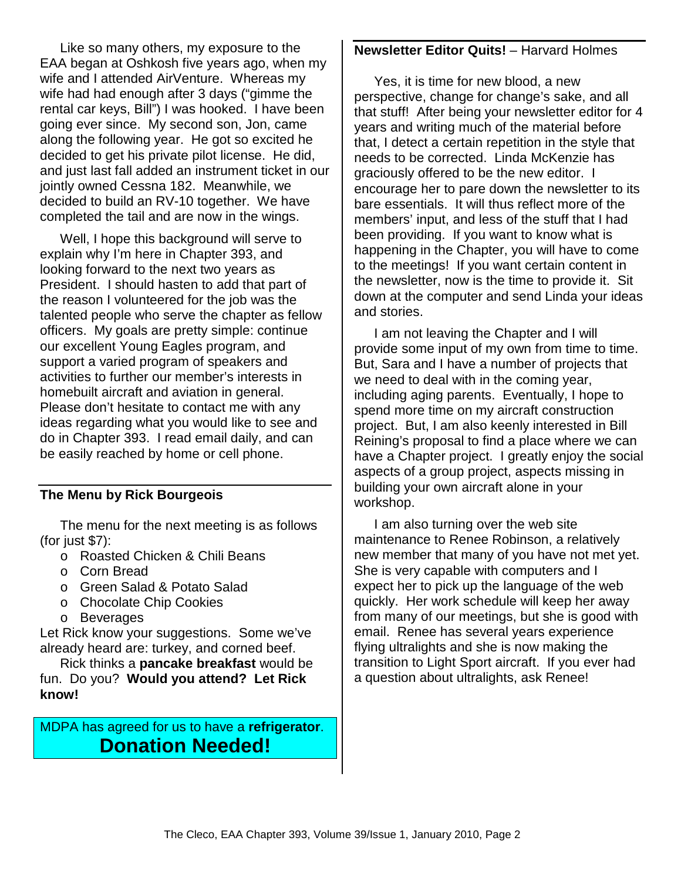Like so many others, my exposure to the EAA began at Oshkosh five years ago, when my wife and I attended AirVenture. Whereas my wife had had enough after 3 days ("gimme the rental car keys, Bill") I was hooked. I have been going ever since. My second son, Jon, came along the following year. He got so excited he decided to get his private pilot license. He did, and just last fall added an instrument ticket in our jointly owned Cessna 182. Meanwhile, we decided to build an RV-10 together. We have completed the tail and are now in the wings.

Well, I hope this background will serve to explain why I'm here in Chapter 393, and looking forward to the next two years as President. I should hasten to add that part of the reason I volunteered for the job was the talented people who serve the chapter as fellow officers. My goals are pretty simple: continue our excellent Young Eagles program, and support a varied program of speakers and activities to further our member's interests in homebuilt aircraft and aviation in general. Please don't hesitate to contact me with any ideas regarding what you would like to see and do in Chapter 393. I read email daily, and can be easily reached by home or cell phone.

#### **The Menu by Rick Bourgeois**

The menu for the next meeting is as follows (for just \$7):

- o Roasted Chicken & Chili Beans
- o Corn Bread
- o Green Salad & Potato Salad
- o Chocolate Chip Cookies
- o Beverages

Let Rick know your suggestions. Some we've already heard are: turkey, and corned beef.

Rick thinks a **pancake breakfast** would be fun. Do you? **Would you attend? Let Rick know!** 

MDPA has agreed for us to have a **refrigerator**. **Donation Needed!** 

#### **Newsletter Editor Quits!** – Harvard Holmes

Yes, it is time for new blood, a new perspective, change for change's sake, and all that stuff! After being your newsletter editor for 4 years and writing much of the material before that, I detect a certain repetition in the style that needs to be corrected. Linda McKenzie has graciously offered to be the new editor. I encourage her to pare down the newsletter to its bare essentials. It will thus reflect more of the members' input, and less of the stuff that I had been providing. If you want to know what is happening in the Chapter, you will have to come to the meetings! If you want certain content in the newsletter, now is the time to provide it. Sit down at the computer and send Linda your ideas and stories.

 I am not leaving the Chapter and I will provide some input of my own from time to time. But, Sara and I have a number of projects that we need to deal with in the coming year, including aging parents. Eventually, I hope to spend more time on my aircraft construction project. But, I am also keenly interested in Bill Reining's proposal to find a place where we can have a Chapter project. I greatly enjoy the social aspects of a group project, aspects missing in building your own aircraft alone in your workshop.

 I am also turning over the web site maintenance to Renee Robinson, a relatively new member that many of you have not met yet. She is very capable with computers and I expect her to pick up the language of the web quickly. Her work schedule will keep her away from many of our meetings, but she is good with email. Renee has several years experience flying ultralights and she is now making the transition to Light Sport aircraft. If you ever had a question about ultralights, ask Renee!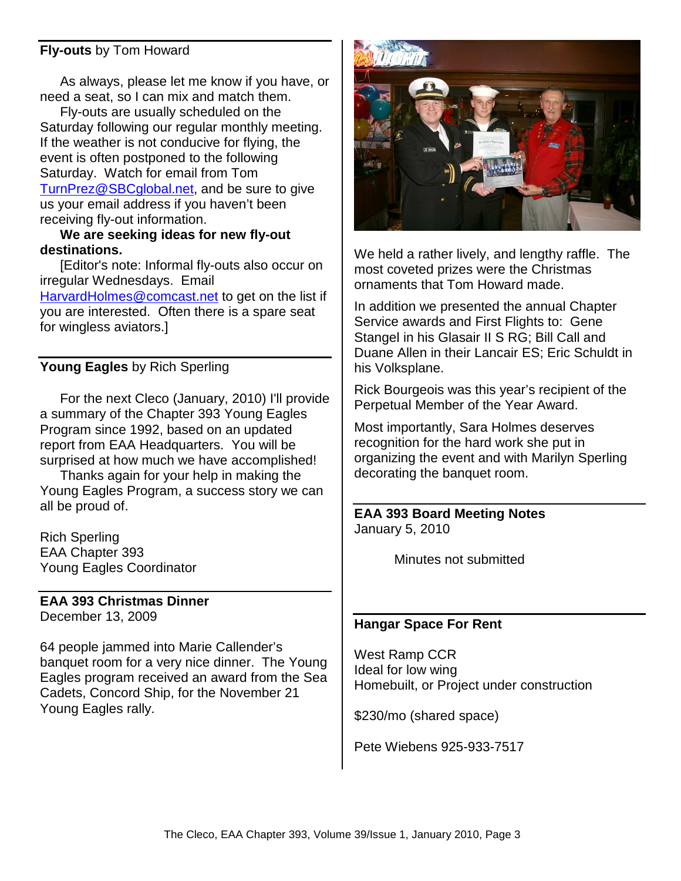### **Fly-outs** by Tom Howard

As always, please let me know if you have, or need a seat, so I can mix and match them.

Fly-outs are usually scheduled on the Saturday following our regular monthly meeting. If the weather is not conducive for flying, the event is often postponed to the following Saturday. Watch for email from Tom TurnPrez@SBCglobal.net, and be sure to give us your email address if you haven't been receiving fly-out information.

#### **We are seeking ideas for new fly-out destinations.**

[Editor's note: Informal fly-outs also occur on irregular Wednesdays. Email HarvardHolmes@comcast.net to get on the list if you are interested. Often there is a spare seat for wingless aviators.]

## **Young Eagles** by Rich Sperling

For the next Cleco (January, 2010) I'll provide a summary of the Chapter 393 Young Eagles Program since 1992, based on an updated report from EAA Headquarters. You will be surprised at how much we have accomplished!

Thanks again for your help in making the Young Eagles Program, a success story we can all be proud of.

Rich Sperling EAA Chapter 393 Young Eagles Coordinator

#### **EAA 393 Christmas Dinner**  December 13, 2009

64 people jammed into Marie Callender's banquet room for a very nice dinner. The Young Eagles program received an award from the Sea Cadets, Concord Ship, for the November 21 Young Eagles rally.



We held a rather lively, and lengthy raffle. The most coveted prizes were the Christmas ornaments that Tom Howard made.

In addition we presented the annual Chapter Service awards and First Flights to: Gene Stangel in his Glasair II S RG; Bill Call and Duane Allen in their Lancair ES; Eric Schuldt in his Volksplane.

Rick Bourgeois was this year's recipient of the Perpetual Member of the Year Award.

Most importantly, Sara Holmes deserves recognition for the hard work she put in organizing the event and with Marilyn Sperling decorating the banquet room.

#### **EAA 393 Board Meeting Notes**  January 5, 2010

Minutes not submitted

#### **Hangar Space For Rent**

West Ramp CCR Ideal for low wing Homebuilt, or Project under construction

\$230/mo (shared space)

Pete Wiebens 925-933-7517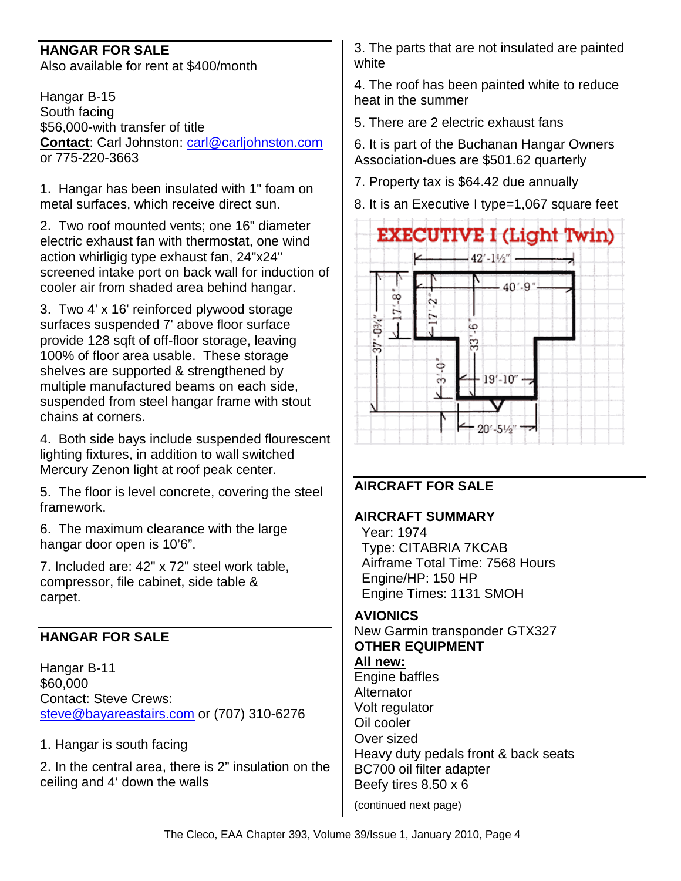## **HANGAR FOR SALE**

Also available for rent at \$400/month

Hangar B-15 South facing \$56,000-with transfer of title **Contact**: Carl Johnston: carl@carljohnston.com or 775-220-3663

1. Hangar has been insulated with 1" foam on metal surfaces, which receive direct sun.

2. Two roof mounted vents; one 16" diameter electric exhaust fan with thermostat, one wind action whirligig type exhaust fan, 24"x24" screened intake port on back wall for induction of cooler air from shaded area behind hangar.

3. Two 4' x 16' reinforced plywood storage surfaces suspended 7' above floor surface provide 128 sqft of off-floor storage, leaving 100% of floor area usable. These storage shelves are supported & strengthened by multiple manufactured beams on each side, suspended from steel hangar frame with stout chains at corners.

4. Both side bays include suspended flourescent lighting fixtures, in addition to wall switched Mercury Zenon light at roof peak center.

5. The floor is level concrete, covering the steel framework.

6. The maximum clearance with the large hangar door open is 10'6".

7. Included are: 42" x 72" steel work table, compressor, file cabinet, side table & carpet.

## **HANGAR FOR SALE**

Hangar B-11 \$60,000 Contact: Steve Crews: steve@bayareastairs.com or (707) 310-6276

#### 1. Hangar is south facing

2. In the central area, there is 2" insulation on the ceiling and 4' down the walls

3. The parts that are not insulated are painted white

4. The roof has been painted white to reduce heat in the summer

5. There are 2 electric exhaust fans

6. It is part of the Buchanan Hangar Owners Association-dues are \$501.62 quarterly

7. Property tax is \$64.42 due annually

8. It is an Executive I type=1,067 square feet



## **AIRCRAFT FOR SALE**

#### **AIRCRAFT SUMMARY**

 Year: 1974 Type: CITABRIA 7KCAB Airframe Total Time: 7568 Hours Engine/HP: 150 HP Engine Times: 1131 SMOH

## **AVIONICS**

New Garmin transponder GTX327 **OTHER EQUIPMENT** 

#### **All new:**

Engine baffles **Alternator** Volt regulator Oil cooler Over sized Heavy duty pedals front & back seats BC700 oil filter adapter Beefy tires 8.50 x 6

(continued next page)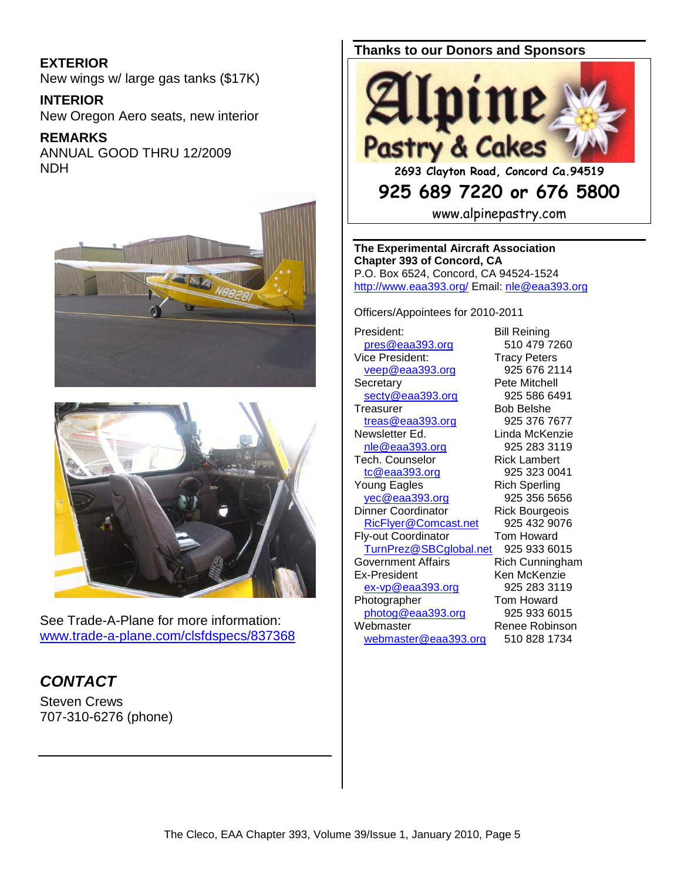## **EXTERIOR**

New wings w/ large gas tanks (\$17K)

#### **INTERIOR**

New Oregon Aero seats, new interior

#### **REMARKS**

ANNUAL GOOD THRU 12/2009 NDH





See Trade-A-Plane for more information: www.trade-a-plane.com/clsfdspecs/837368

## **CONTACT**

Steven Crews 707-310-6276 (phone)

## **Thanks to our Donors and Sponsors**



## **925 689 7220 or 676 5800**

www.alpinepastry.com

**The Experimental Aircraft Association Chapter 393 of Concord, CA**  P.O. Box 6524, Concord, CA 94524-1524 http://www.eaa393.org/ Email: nle@eaa393.org

Officers/Appointees for 2010-2011

President: Bill Reining pres@eaa393.org 510 479 7260 Vice President: Tracy Peters veep@eaa393.org 925 676 2114 Secretary **Pete Mitchell** secty@eaa393.org 925 586 6491 Treasurer Bob Belshe treas@eaa393.org 925 376 7677 Newsletter Ed. Linda McKenzie nle@eaa393.org 925 283 3119 Tech. Counselor **Rick Lambert** tc@eaa393.org 925 323 0041 Young Eagles **Rich Sperling** yec@eaa393.org 925 356 5656 Dinner Coordinator **Rick Bourgeois** RicFlyer@Comcast.net 925 432 9076 Fly-out Coordinator Tom Howard TurnPrez@SBCglobal.net 925 933 6015 Government Affairs **Rich Cunningham** Ex-President Ken McKenzie ex-vp@eaa393.org 925 283 3119 Photographer Tom Howard photog@eaa393.org 925 933 6015 Webmaster Renee Robinson webmaster@eaa393.org 510 828 1734